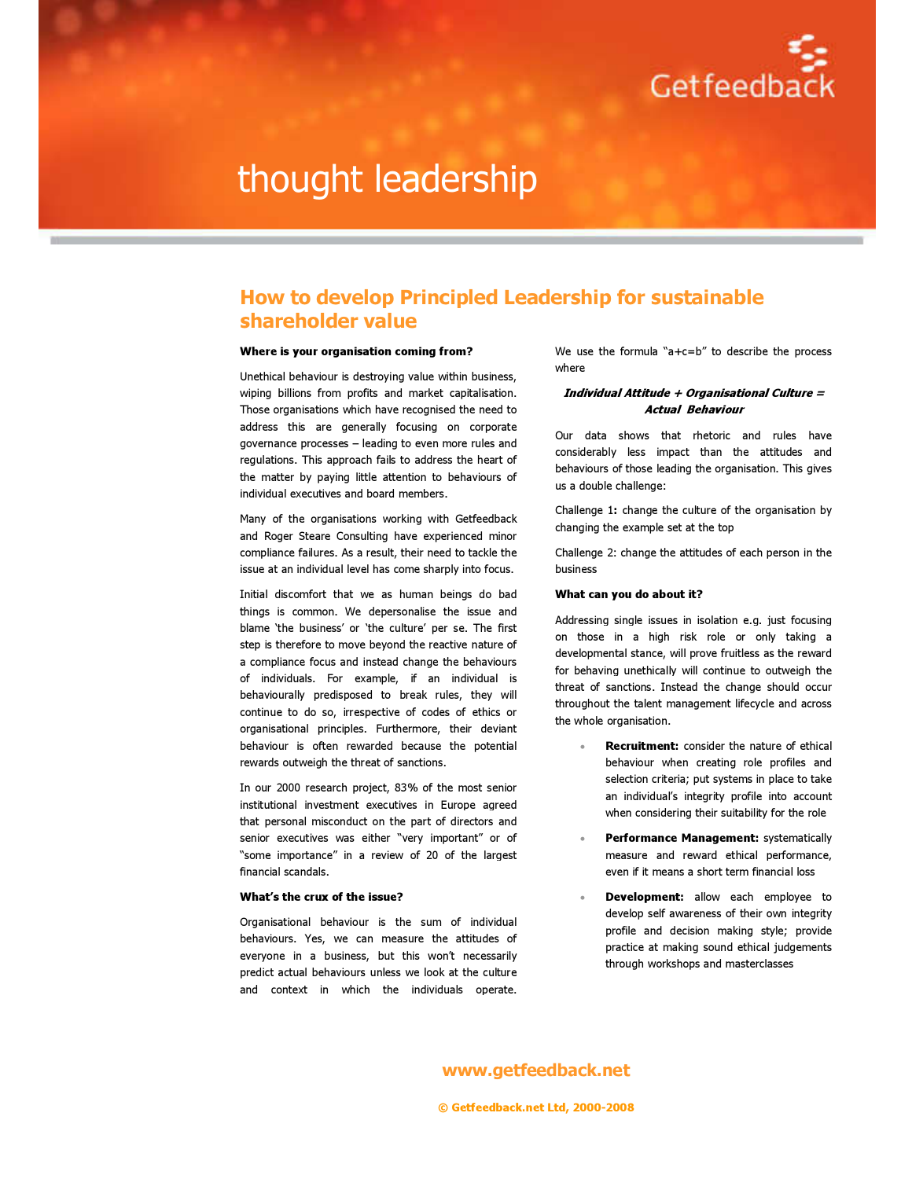

# thought leadership

### How to develop Principled Leadership for sustainable shareholder value

#### Where is your organisation coming from?

Unethical behaviour is destroying value within business, wiping billions from profits and market capitalisation. Those organisations which have recognised the need to address this are generally focusing on corporate governance processes – leading to even more rules and regulations. This approach fails to address the heart of the matter by paying little attention to behaviours of individual executives and board members.

Many of the organisations working with Getfeedback and Roger Steare Consulting have experienced minor compliance failures. As a result, their need to tackle the issue at an individual level has come sharply into focus.

Initial discomfort that we as human beings do bad things is common. We depersonalise the issue and blame 'the business' or 'the culture' per se. The first step is therefore to move beyond the reactive nature of a compliance focus and instead change the behaviours of individuals. For example, if an individual is behaviourally predisposed to break rules, they will continue to do so, irrespective of codes of ethics or organisational principles. Furthermore, their deviant behaviour is often rewarded because the potential rewards outweigh the threat of sanctions.

In our 2000 research project, 83% of the most senior institutional investment executives in Europe agreed that personal misconduct on the part of directors and senior executives was either "very important" or of "some importance" in a review of 20 of the largest financial scandals.

#### What's the crux of the issue?

Organisational behaviour is the sum of individual behaviours. Yes, we can measure the attitudes of everyone in a business, but this won't necessarily predict actual behaviours unless we look at the culture and context in which the individuals operate. We use the formula "a+c=b" to describe the process where

#### Individual Attitude + Organisational Culture = Actual Behaviour

Our data shows that rhetoric and rules have considerably less impact than the attitudes and behaviours of those leading the organisation. This gives us a double challenge:

Challenge 1: change the culture of the organisation by changing the example set at the top

Challenge 2: change the attitudes of each person in the business

#### What can you do about it?

Addressing single issues in isolation e.g. just focusing on those in a high risk role or only taking a developmental stance, will prove fruitless as the reward for behaving unethically will continue to outweigh the threat of sanctions. Instead the change should occur throughout the talent management lifecycle and across the whole organisation.

- Recruitment: consider the nature of ethical behaviour when creating role profiles and selection criteria; put systems in place to take an individual's integrity profile into account when considering their suitability for the role
- Performance Management: systematically measure and reward ethical performance, even if it means a short term financial loss
- **Development:** allow each employee to develop self awareness of their own integrity profile and decision making style; provide practice at making sound ethical judgements through workshops and masterclasses

#### www.getfeedback.net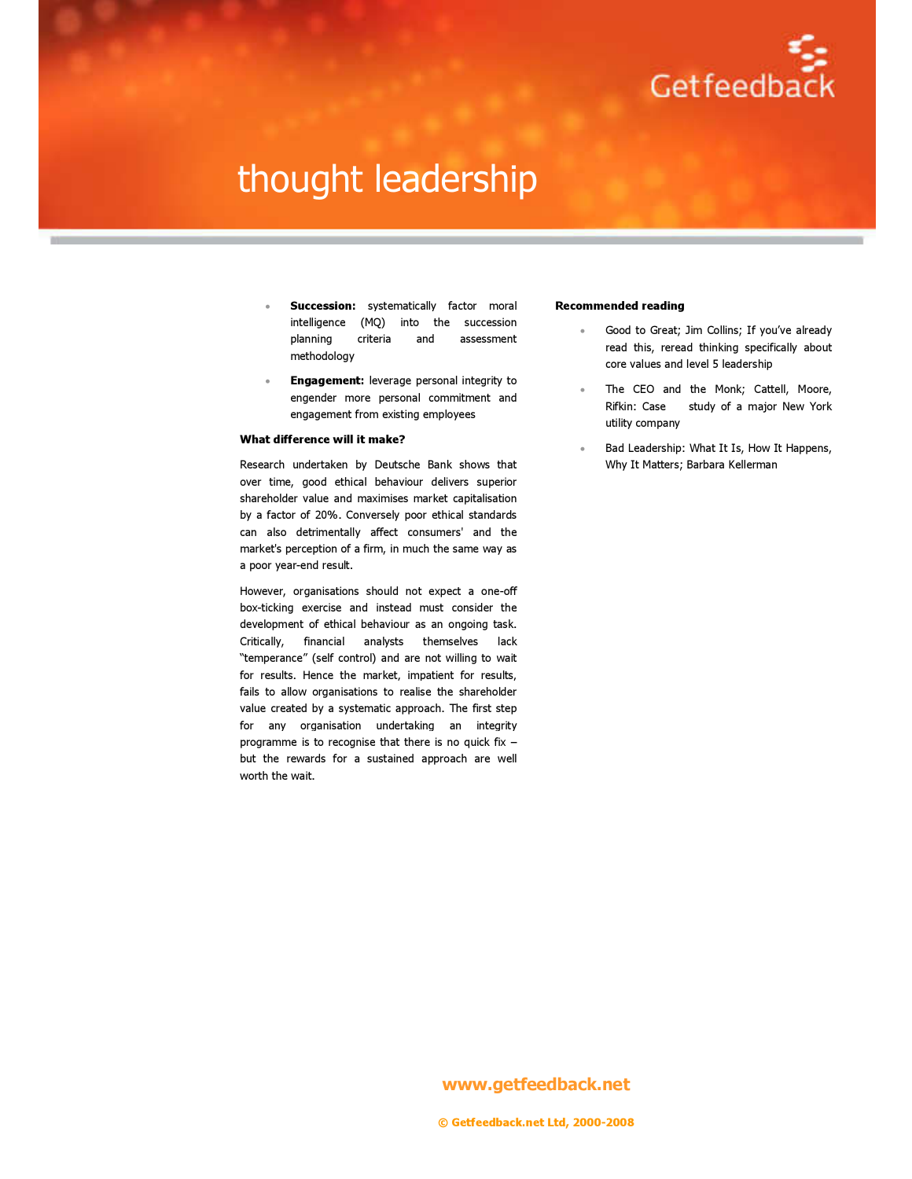

# thought leadership

- **Succession:** systematically factor moral intelligence (MQ) into the succession planning criteria and assessment methodology
- **Engagement:** leverage personal integrity to engender more personal commitment and engagement from existing employees

#### What difference will it make?

Research undertaken by Deutsche Bank shows that over time, good ethical behaviour delivers superior shareholder value and maximises market capitalisation by a factor of 20%. Conversely poor ethical standards can also detrimentally affect consumers' and the market's perception of a firm, in much the same way as a poor year-end result.

However, organisations should not expect a one-off box-ticking exercise and instead must consider the development of ethical behaviour as an ongoing task. Critically, financial analysts themselves lack "temperance" (self control) and are not willing to wait for results. Hence the market, impatient for results, fails to allow organisations to realise the shareholder value created by a systematic approach. The first step for any organisation undertaking an integrity programme is to recognise that there is no quick fix – but the rewards for a sustained approach are well worth the wait.

#### Recommended reading

- Good to Great; Jim Collins; If you've already read this, reread thinking specifically about core values and level 5 leadership
- The CEO and the Monk; Cattell, Moore, Rifkin: Case study of a major New York utility company
- Bad Leadership: What It Is, How It Happens, Why It Matters; Barbara Kellerman

#### www.getfeedback.net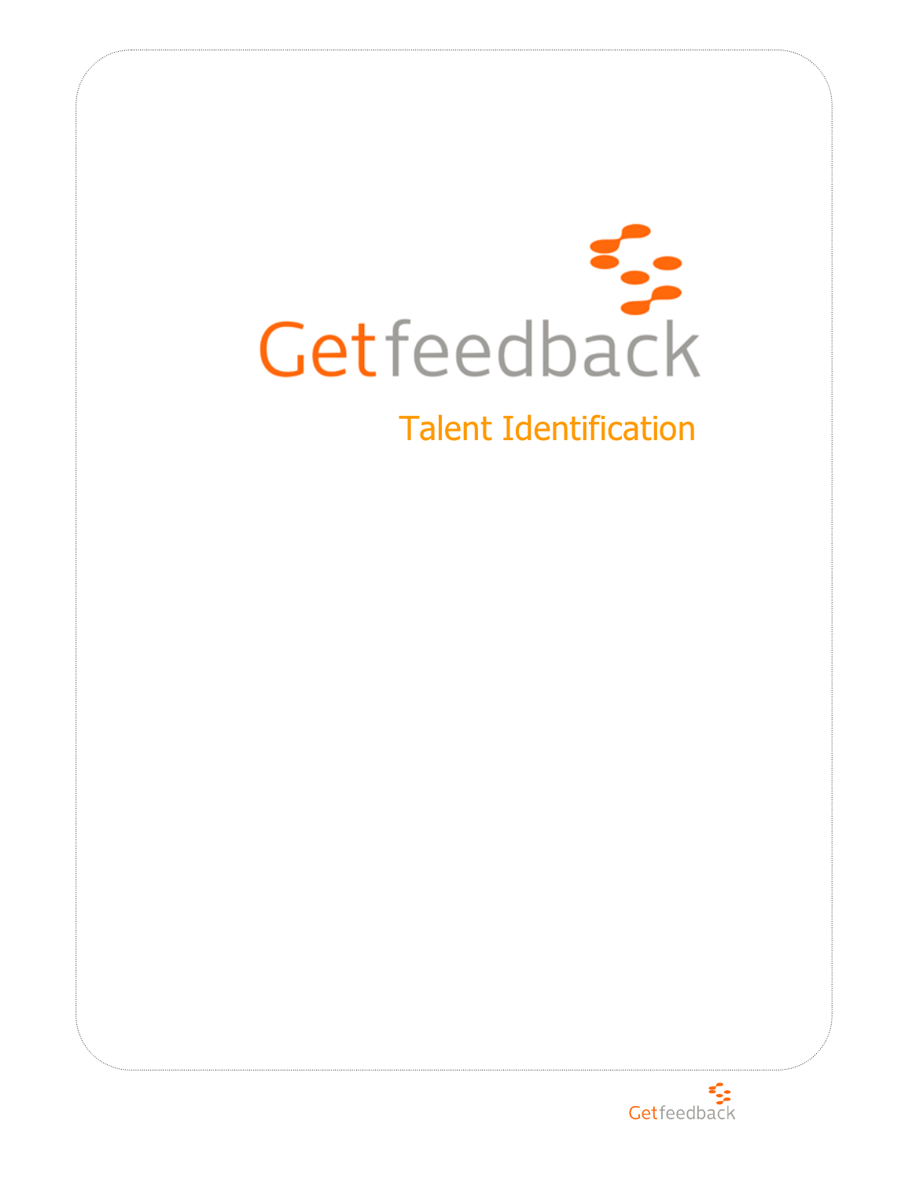

# Talent Identification

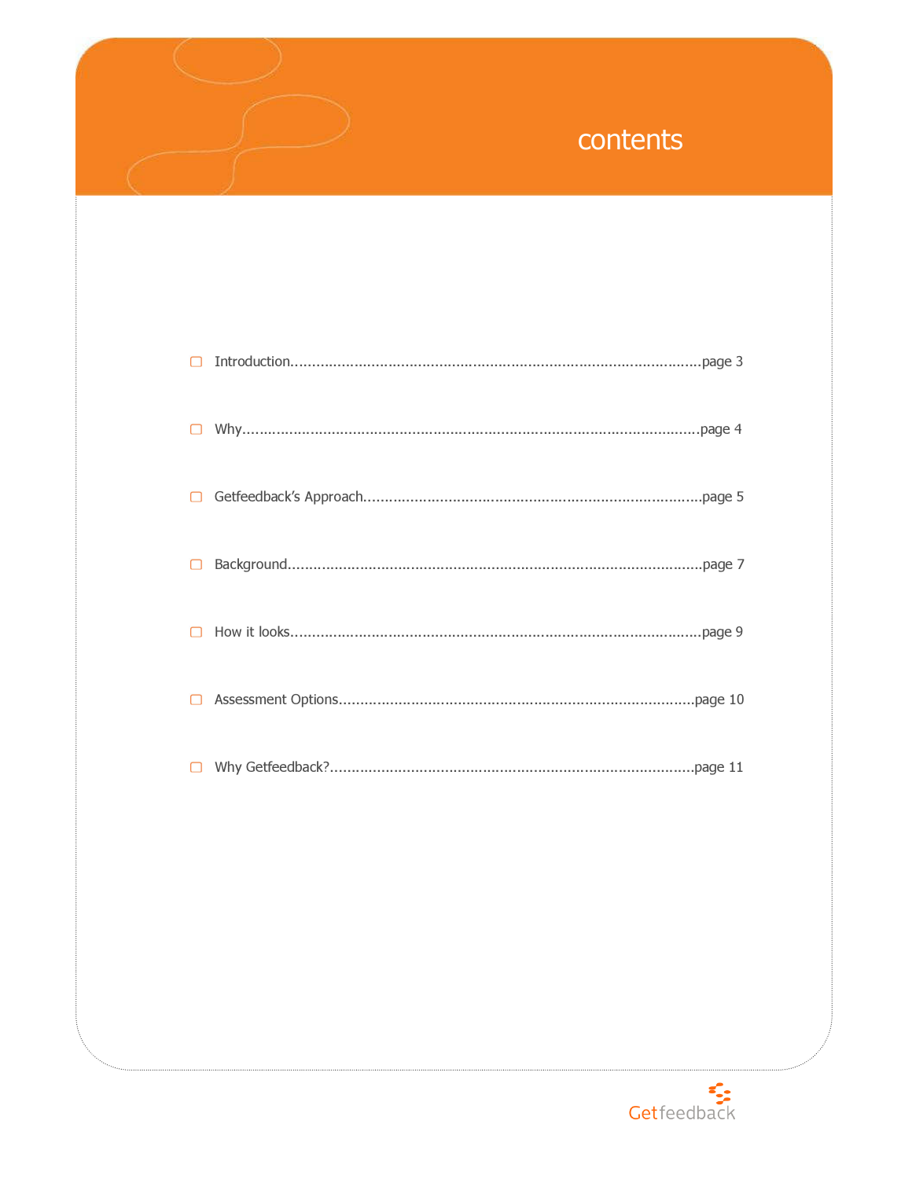# contents

| □ |  |
|---|--|
|   |  |
|   |  |
|   |  |
|   |  |

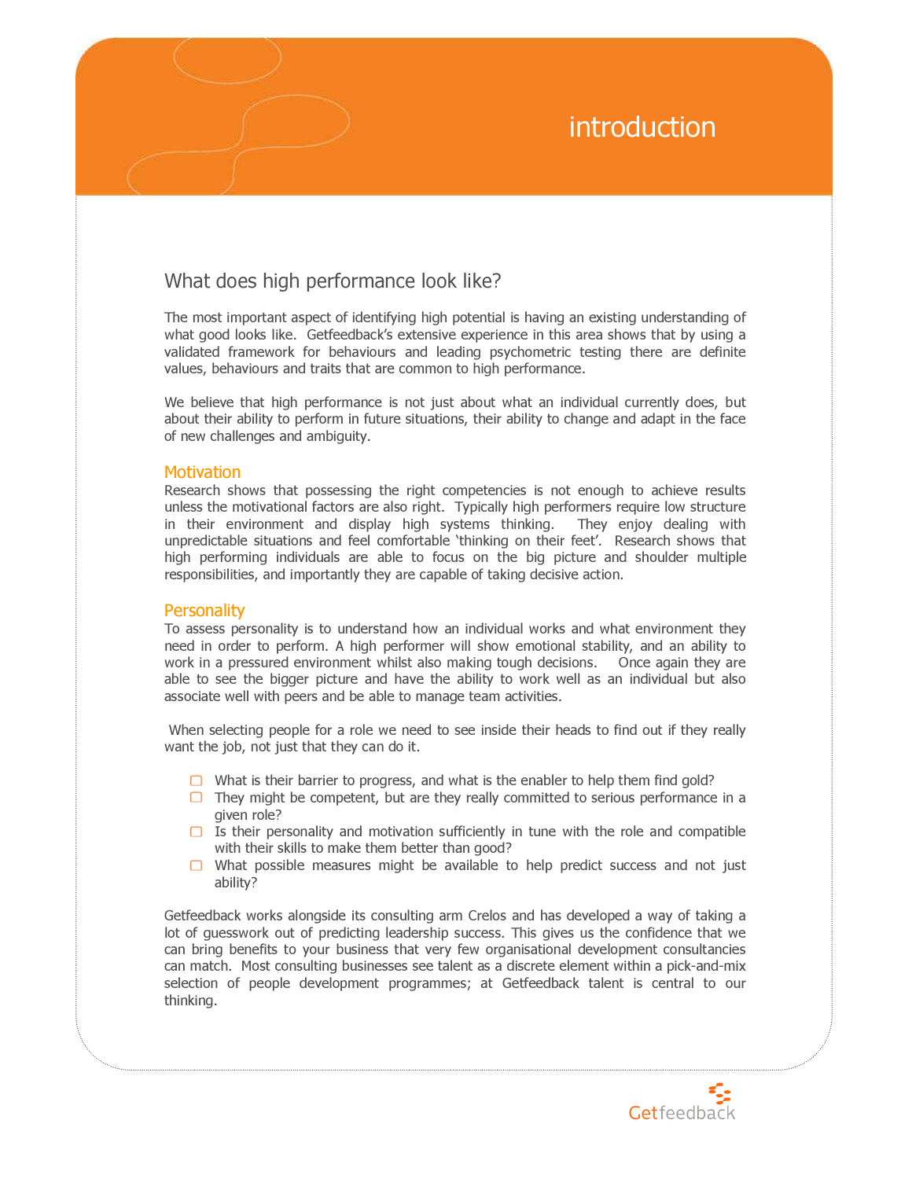# introduction

### What does high performance look like?

The most important aspect of identifying high potential is having an existing understanding of what good looks like. Getfeedback's extensive experience in this area shows that by using a validated framework for behaviours and leading psychometric testing there are definite values, behaviours and traits that are common to high performance.

We believe that high performance is not just about what an individual currently does, but about their ability to perform in future situations, their ability to change and adapt in the face of new challenges and ambiguity.

#### **Motivation**

Research shows that possessing the right competencies is not enough to achieve results unless the motivational factors are also right. Typically high performers require low structure in their environment and display high systems thinking. They enjoy dealing with unpredictable situations and feel comfortable 'thinking on their feet'. Research shows that high performing individuals are able to focus on the big picture and shoulder multiple responsibilities, and importantly they are capable of taking decisive action.

### **Personality**

To assess personality is to understand how an individual works and what environment they need in order to perform. A high performer will show emotional stability, and an ability to work in a pressured environment whilst also making tough decisions. Once again they are able to see the bigger picture and have the ability to work well as an individual but also associate well with peers and be able to manage team activities.

 When selecting people for a role we need to see inside their heads to find out if they really want the job, not just that they can do it.

- $\Box$  What is their barrier to progress, and what is the enabler to help them find gold?
- $\Box$  They might be competent, but are they really committed to serious performance in a given role?
- $\Box$  Is their personality and motivation sufficiently in tune with the role and compatible with their skills to make them better than good?
- $\Box$  What possible measures might be available to help predict success and not just ability?

Getfeedback works alongside its consulting arm Crelos and has developed a way of taking a lot of guesswork out of predicting leadership success. This gives us the confidence that we can bring benefits to your business that very few organisational development consultancies can match. Most consulting businesses see talent as a discrete element within a pick-and-mix selection of people development programmes; at Getfeedback talent is central to our thinking.

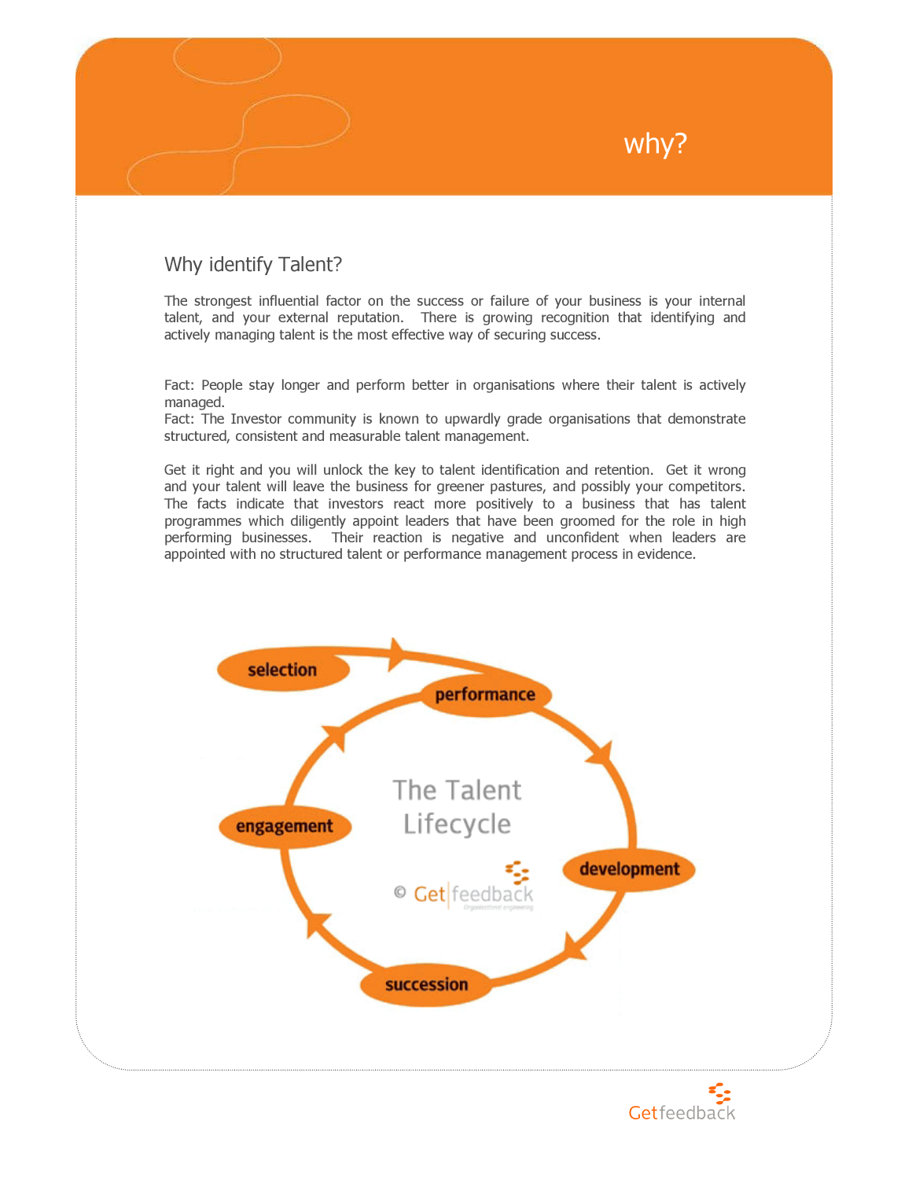### Why identify Talent?

The strongest influential factor on the success or failure of your business is your internal talent, and your external reputation. There is growing recognition that identifying and actively managing talent is the most effective way of securing success.

Fact: People stay longer and perform better in organisations where their talent is actively managed.

Fact: The Investor community is known to upwardly grade organisations that demonstrate structured, consistent and measurable talent management.

Get it right and you will unlock the key to talent identification and retention. Get it wrong and your talent will leave the business for greener pastures, and possibly your competitors. The facts indicate that investors react more positively to a business that has talent programmes which diligently appoint leaders that have been groomed for the role in high performing businesses. Their reaction is negative and unconfident when leaders are appointed with no structured talent or performance management process in evidence.





why?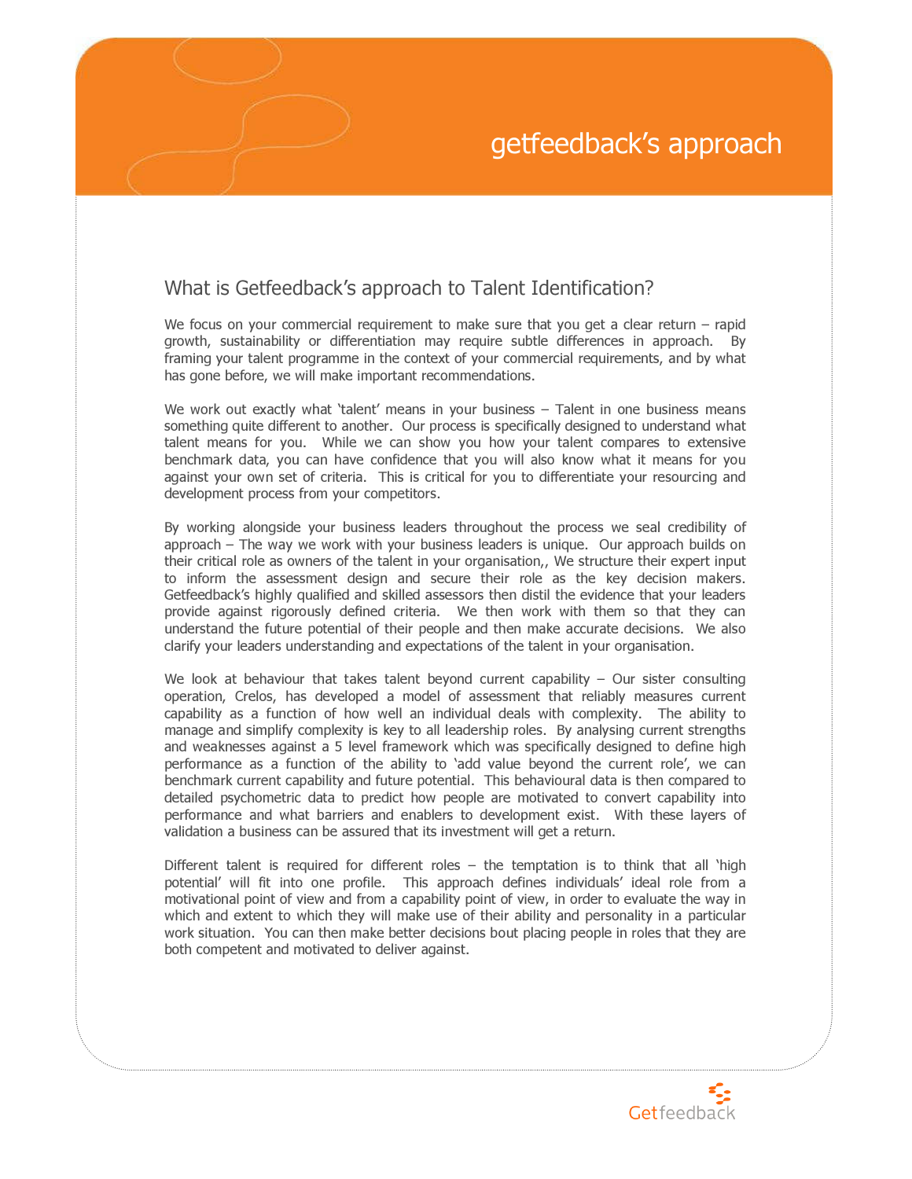# getfeedback's approach

### What is Getfeedback's approach to Talent Identification?

We focus on your commercial requirement to make sure that you get a clear return – rapid growth, sustainability or differentiation may require subtle differences in approach. By framing your talent programme in the context of your commercial requirements, and by what has gone before, we will make important recommendations.

We work out exactly what 'talent' means in your business – Talent in one business means something quite different to another. Our process is specifically designed to understand what talent means for you. While we can show you how your talent compares to extensive benchmark data, you can have confidence that you will also know what it means for you against your own set of criteria. This is critical for you to differentiate your resourcing and development process from your competitors.

By working alongside your business leaders throughout the process we seal credibility of approach – The way we work with your business leaders is unique. Our approach builds on their critical role as owners of the talent in your organisation,, We structure their expert input to inform the assessment design and secure their role as the key decision makers. Getfeedback's highly qualified and skilled assessors then distil the evidence that your leaders provide against rigorously defined criteria. We then work with them so that they can understand the future potential of their people and then make accurate decisions. We also clarify your leaders understanding and expectations of the talent in your organisation.

We look at behaviour that takes talent beyond current capability  $-$  Our sister consulting operation, Crelos, has developed a model of assessment that reliably measures current capability as a function of how well an individual deals with complexity. The ability to manage and simplify complexity is key to all leadership roles. By analysing current strengths and weaknesses against a 5 level framework which was specifically designed to define high performance as a function of the ability to 'add value beyond the current role', we can benchmark current capability and future potential. This behavioural data is then compared to detailed psychometric data to predict how people are motivated to convert capability into performance and what barriers and enablers to development exist. With these layers of validation a business can be assured that its investment will get a return.

Different talent is required for different roles – the temptation is to think that all 'high potential' will fit into one profile. This approach defines individuals' ideal role from a motivational point of view and from a capability point of view, in order to evaluate the way in which and extent to which they will make use of their ability and personality in a particular work situation. You can then make better decisions bout placing people in roles that they are both competent and motivated to deliver against.

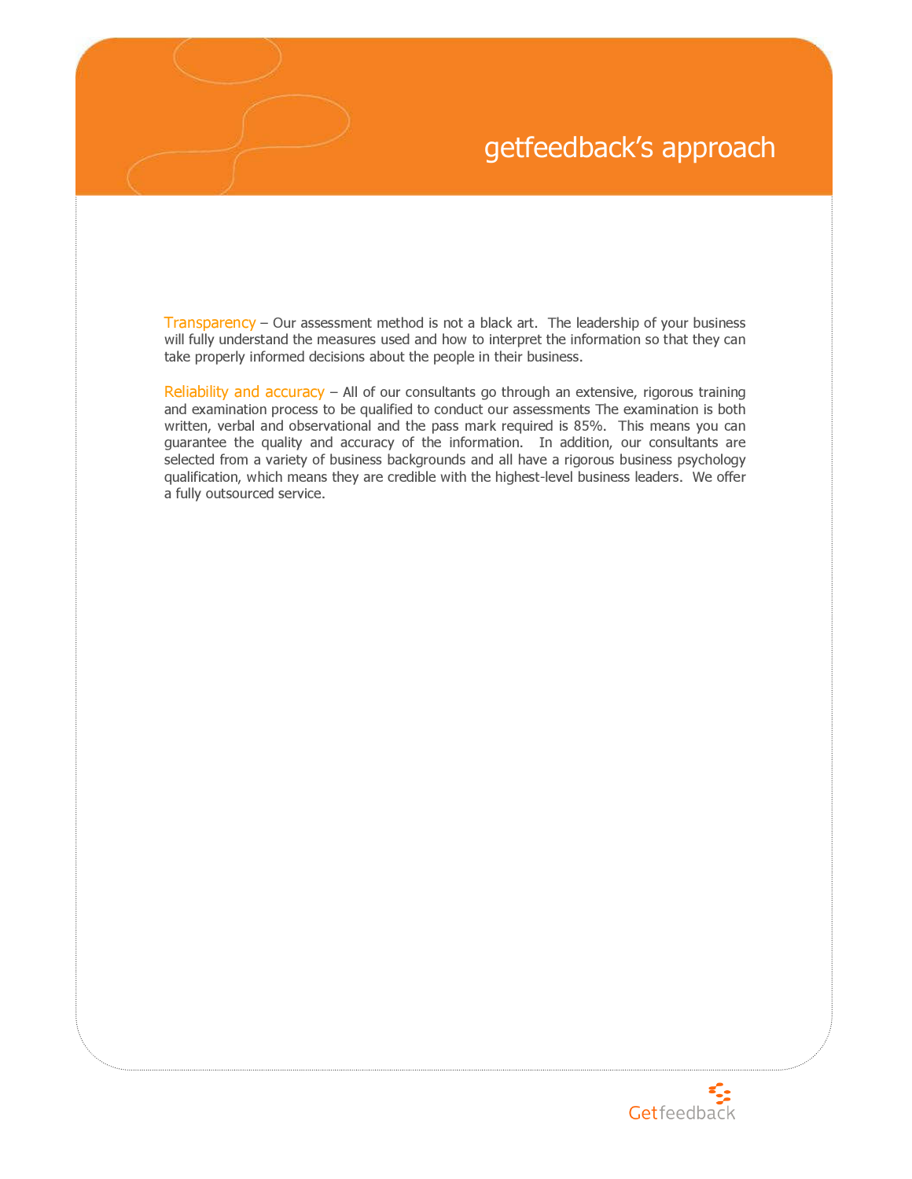# getfeedback's approach

Transparency – Our assessment method is not a black art. The leadership of your business will fully understand the measures used and how to interpret the information so that they can take properly informed decisions about the people in their business.

Reliability and accuracy - All of our consultants go through an extensive, rigorous training and examination process to be qualified to conduct our assessments The examination is both written, verbal and observational and the pass mark required is 85%. This means you can guarantee the quality and accuracy of the information. In addition, our consultants are selected from a variety of business backgrounds and all have a rigorous business psychology qualification, which means they are credible with the highest-level business leaders. We offer a fully outsourced service.

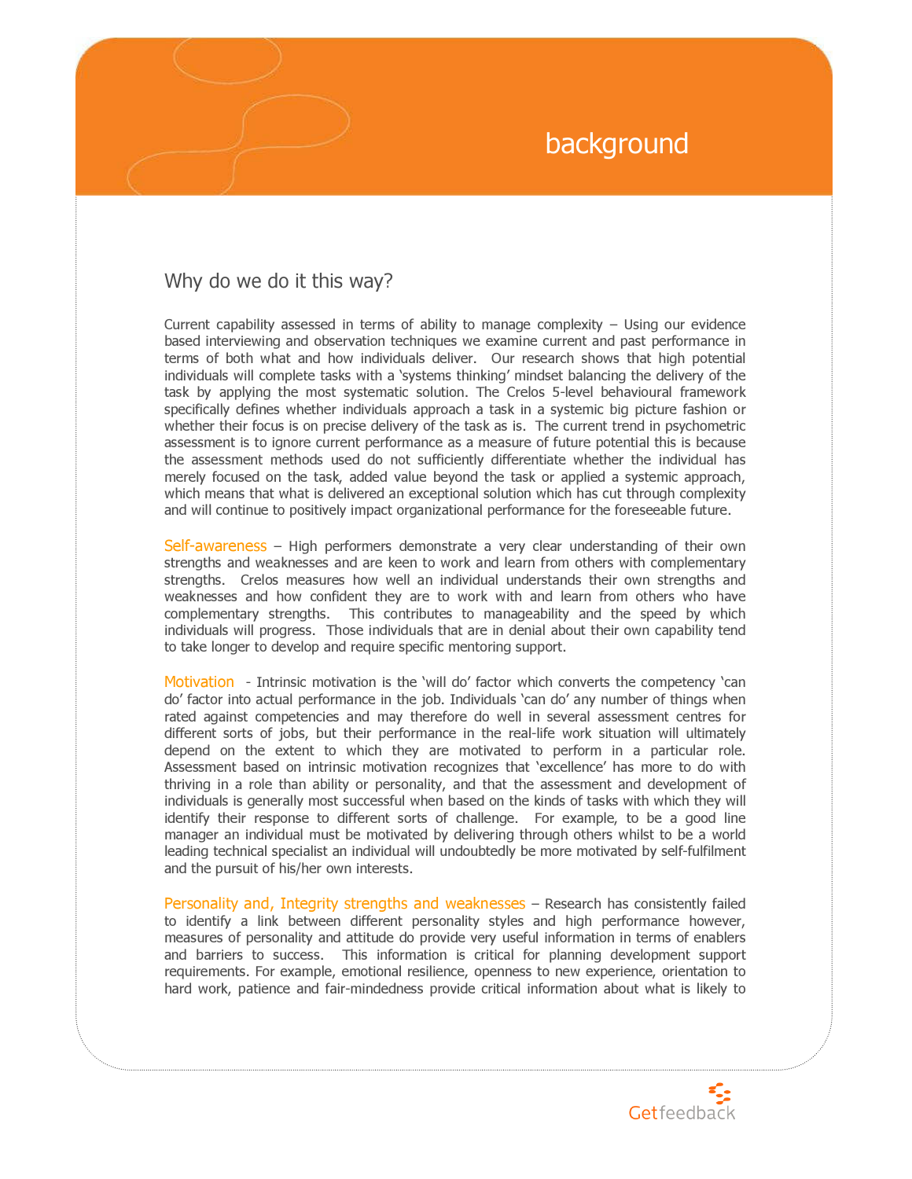# background

### Why do we do it this way?

Current capability assessed in terms of ability to manage complexity – Using our evidence based interviewing and observation techniques we examine current and past performance in terms of both what and how individuals deliver. Our research shows that high potential individuals will complete tasks with a 'systems thinking' mindset balancing the delivery of the task by applying the most systematic solution. The Crelos 5-level behavioural framework specifically defines whether individuals approach a task in a systemic big picture fashion or whether their focus is on precise delivery of the task as is. The current trend in psychometric assessment is to ignore current performance as a measure of future potential this is because the assessment methods used do not sufficiently differentiate whether the individual has merely focused on the task, added value beyond the task or applied a systemic approach, which means that what is delivered an exceptional solution which has cut through complexity and will continue to positively impact organizational performance for the foreseeable future.

Self-awareness – High performers demonstrate a very clear understanding of their own strengths and weaknesses and are keen to work and learn from others with complementary strengths. Crelos measures how well an individual understands their own strengths and weaknesses and how confident they are to work with and learn from others who have complementary strengths. This contributes to manageability and the speed by which individuals will progress. Those individuals that are in denial about their own capability tend to take longer to develop and require specific mentoring support.

Motivation - Intrinsic motivation is the 'will do' factor which converts the competency 'can do' factor into actual performance in the job. Individuals 'can do' any number of things when rated against competencies and may therefore do well in several assessment centres for different sorts of jobs, but their performance in the real-life work situation will ultimately depend on the extent to which they are motivated to perform in a particular role. Assessment based on intrinsic motivation recognizes that 'excellence' has more to do with thriving in a role than ability or personality, and that the assessment and development of individuals is generally most successful when based on the kinds of tasks with which they will identify their response to different sorts of challenge. For example, to be a good line manager an individual must be motivated by delivering through others whilst to be a world leading technical specialist an individual will undoubtedly be more motivated by self-fulfilment and the pursuit of his/her own interests.

Personality and, Integrity strengths and weaknesses – Research has consistently failed to identify a link between different personality styles and high performance however, measures of personality and attitude do provide very useful information in terms of enablers and barriers to success. This information is critical for planning development support requirements. For example, emotional resilience, openness to new experience, orientation to hard work, patience and fair-mindedness provide critical information about what is likely to

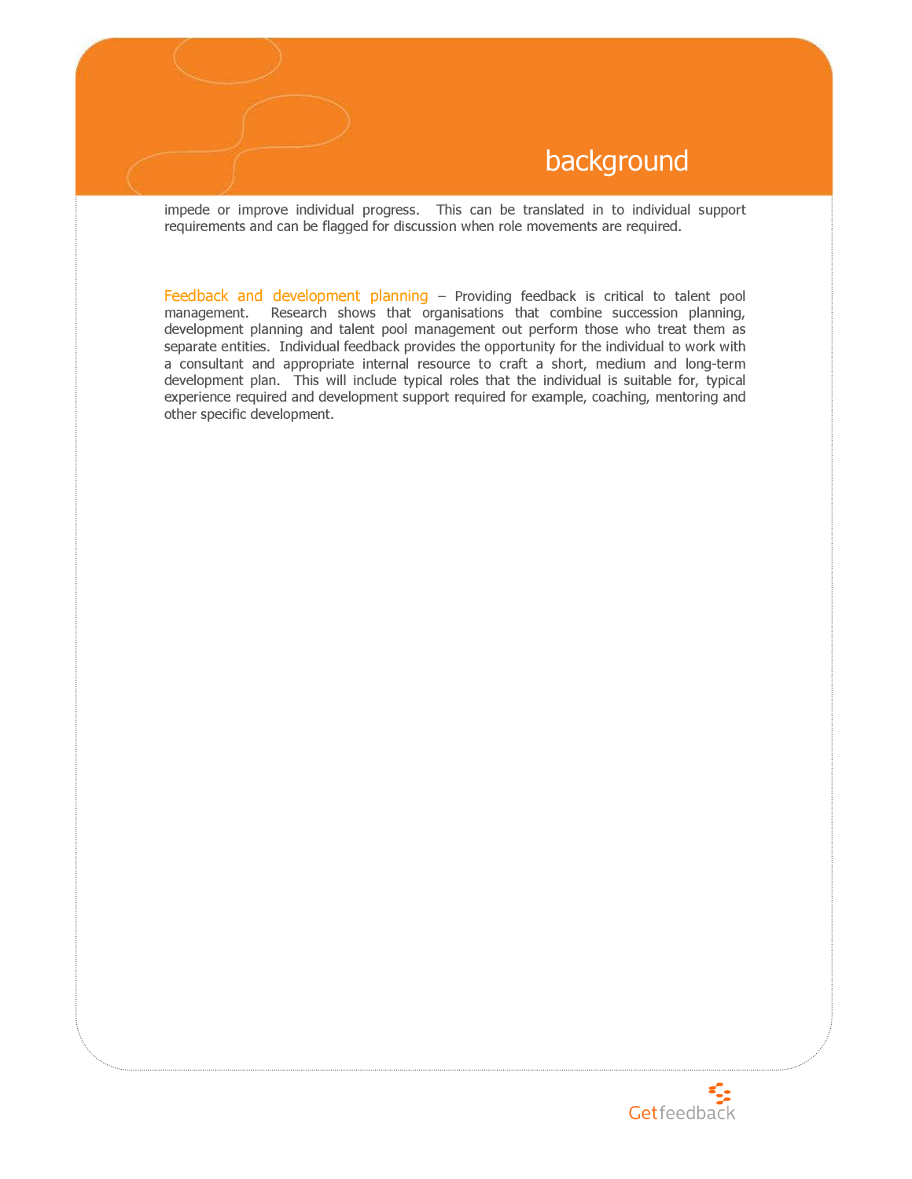

impede or improve individual progress. This can be translated in to individual support requirements and can be flagged for discussion when role movements are required.

Feedback and development planning - Providing feedback is critical to talent pool management. Research shows that organisations that combine succession planning, development planning and talent pool management out perform those who treat them as separate entities. Individual feedback provides the opportunity for the individual to work with a consultant and appropriate internal resource to craft a short, medium and long-term development plan. This will include typical roles that the individual is suitable for, typical experience required and development support required for example, coaching, mentoring and other specific development.

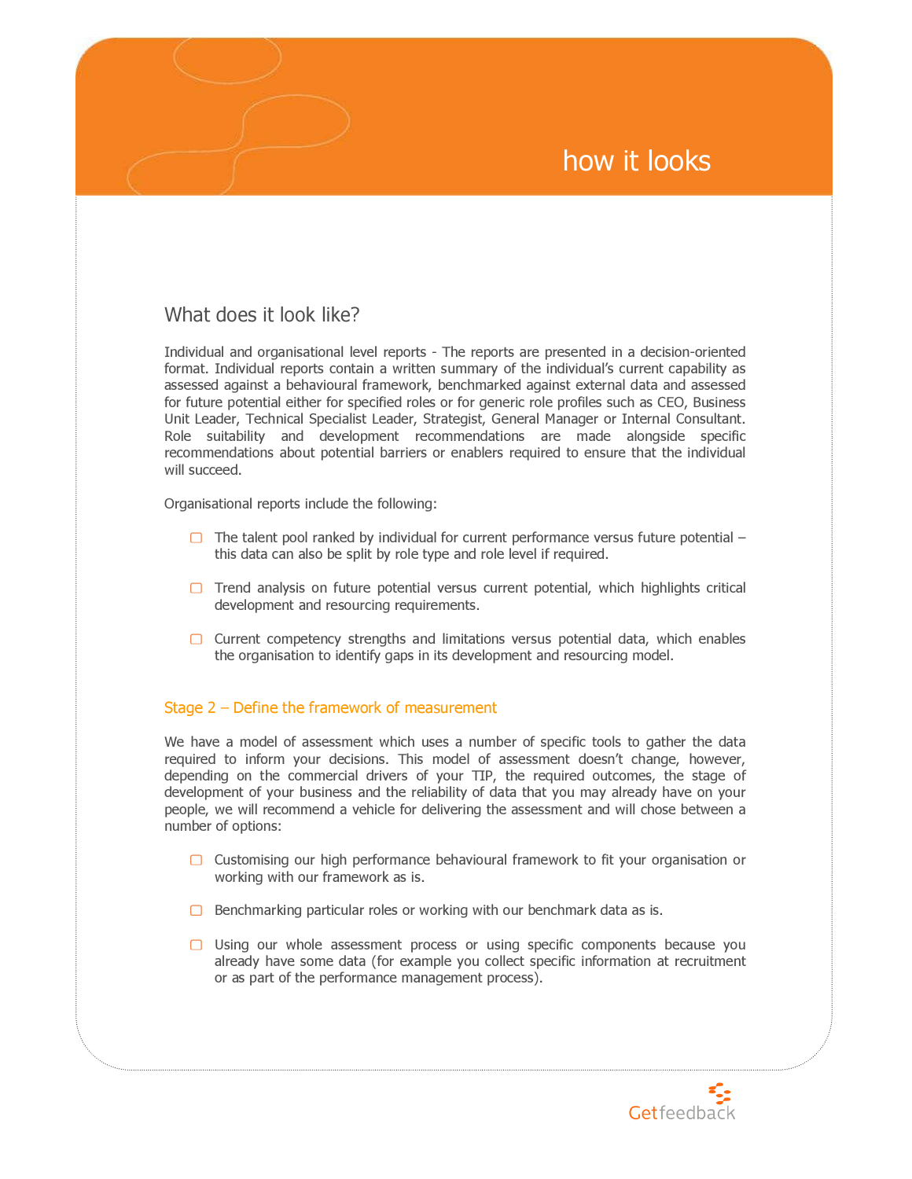## how it looks

### What does it look like?

Individual and organisational level reports - The reports are presented in a decision-oriented format. Individual reports contain a written summary of the individual's current capability as assessed against a behavioural framework, benchmarked against external data and assessed for future potential either for specified roles or for generic role profiles such as CEO, Business Unit Leader, Technical Specialist Leader, Strategist, General Manager or Internal Consultant. Role suitability and development recommendations are made alongside specific recommendations about potential barriers or enablers required to ensure that the individual will succeed.

Organisational reports include the following:

- $\Box$  The talent pool ranked by individual for current performance versus future potential this data can also be split by role type and role level if required.
- $\Box$  Trend analysis on future potential versus current potential, which highlights critical development and resourcing requirements.
- $\Box$  Current competency strengths and limitations versus potential data, which enables the organisation to identify gaps in its development and resourcing model.

### Stage 2 – Define the framework of measurement

We have a model of assessment which uses a number of specific tools to gather the data required to inform your decisions. This model of assessment doesn't change, however, depending on the commercial drivers of your TIP, the required outcomes, the stage of development of your business and the reliability of data that you may already have on your people, we will recommend a vehicle for delivering the assessment and will chose between a number of options:

- $\Box$  Customising our high performance behavioural framework to fit your organisation or working with our framework as is.
- $\Box$  Benchmarking particular roles or working with our benchmark data as is.
- $\Box$  Using our whole assessment process or using specific components because you already have some data (for example you collect specific information at recruitment or as part of the performance management process).

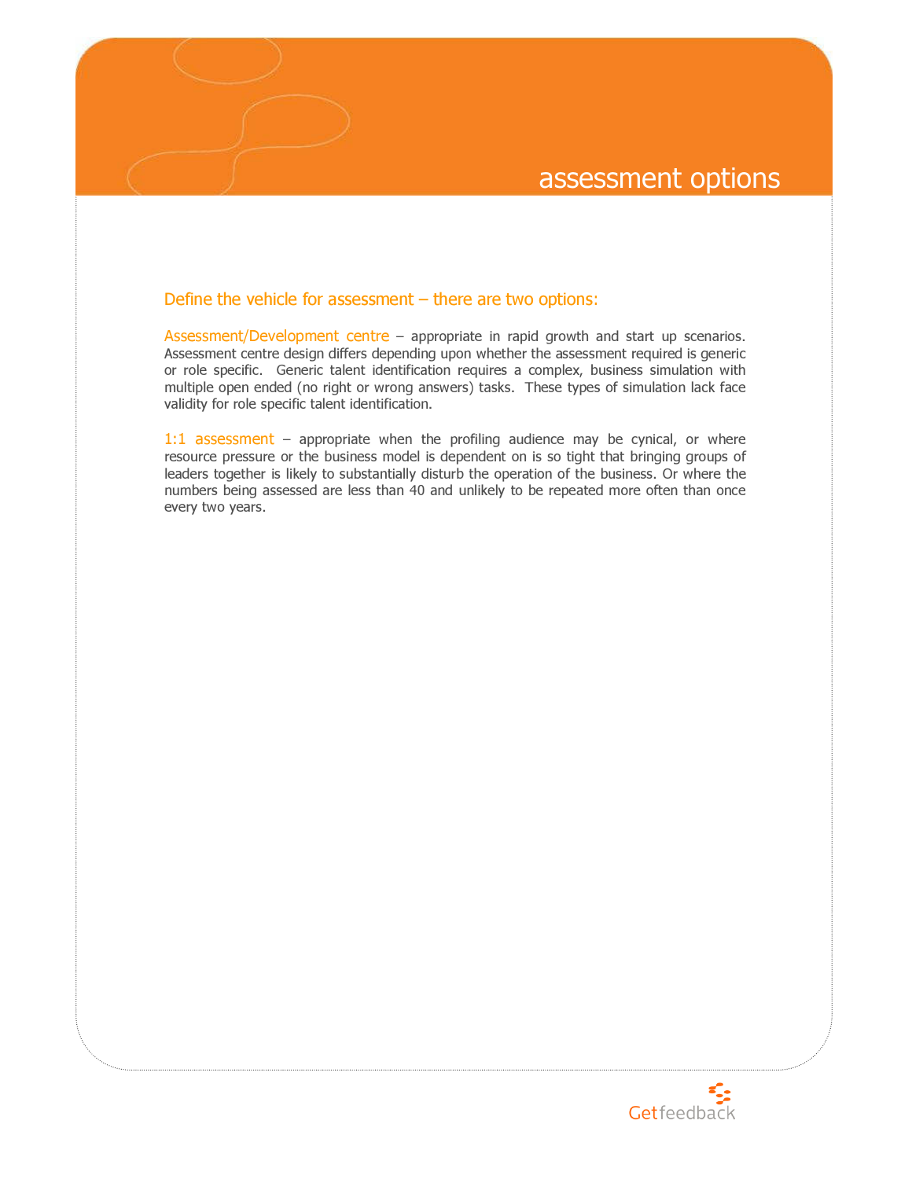### assessment options

### Define the vehicle for assessment – there are two options:

Assessment/Development centre – appropriate in rapid growth and start up scenarios. Assessment centre design differs depending upon whether the assessment required is generic or role specific. Generic talent identification requires a complex, business simulation with multiple open ended (no right or wrong answers) tasks. These types of simulation lack face validity for role specific talent identification.

1:1 assessment – appropriate when the profiling audience may be cynical, or where resource pressure or the business model is dependent on is so tight that bringing groups of leaders together is likely to substantially disturb the operation of the business. Or where the numbers being assessed are less than 40 and unlikely to be repeated more often than once every two years.

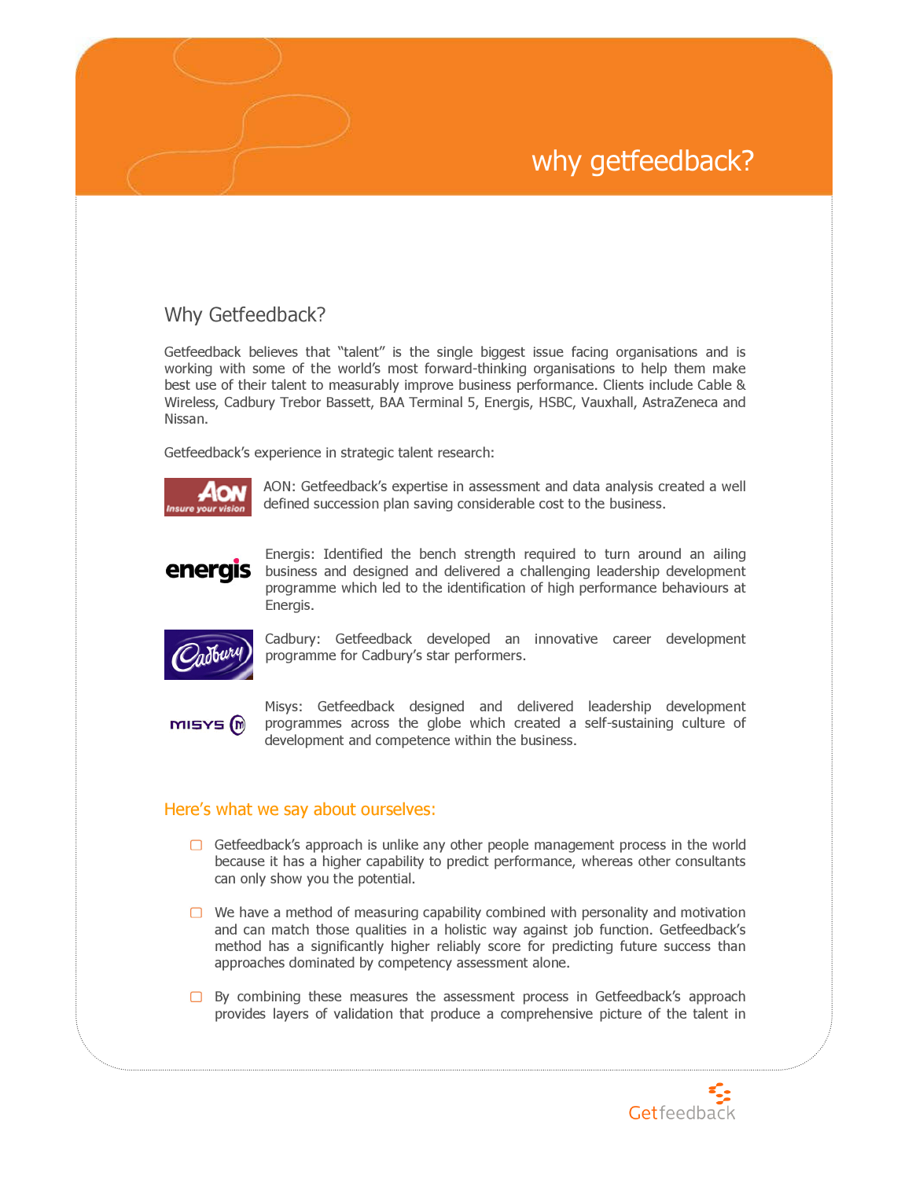# why getfeedback?

### Why Getfeedback?

Getfeedback believes that "talent" is the single biggest issue facing organisations and is working with some of the world's most forward-thinking organisations to help them make best use of their talent to measurably improve business performance. Clients include Cable & Wireless, Cadbury Trebor Bassett, BAA Terminal 5, Energis, HSBC, Vauxhall, AstraZeneca and Nissan.

Getfeedback's experience in strategic talent research:



AON: Getfeedback's expertise in assessment and data analysis created a well defined succession plan saving considerable cost to the business.

## energis

Energis: Identified the bench strength required to turn around an ailing business and designed and delivered a challenging leadership development programme which led to the identification of high performance behaviours at Energis.



Cadbury: Getfeedback developed an innovative career development programme for Cadbury's star performers.

**MISYS** (m)

Misys: Getfeedback designed and delivered leadership development programmes across the globe which created a self-sustaining culture of development and competence within the business.

### Here's what we say about ourselves:

- $\Box$  Getfeedback's approach is unlike any other people management process in the world because it has a higher capability to predict performance, whereas other consultants can only show you the potential.
- $\Box$  We have a method of measuring capability combined with personality and motivation and can match those qualities in a holistic way against job function. Getfeedback's method has a significantly higher reliably score for predicting future success than approaches dominated by competency assessment alone.
- $\square$  By combining these measures the assessment process in Getfeedback's approach provides layers of validation that produce a comprehensive picture of the talent in